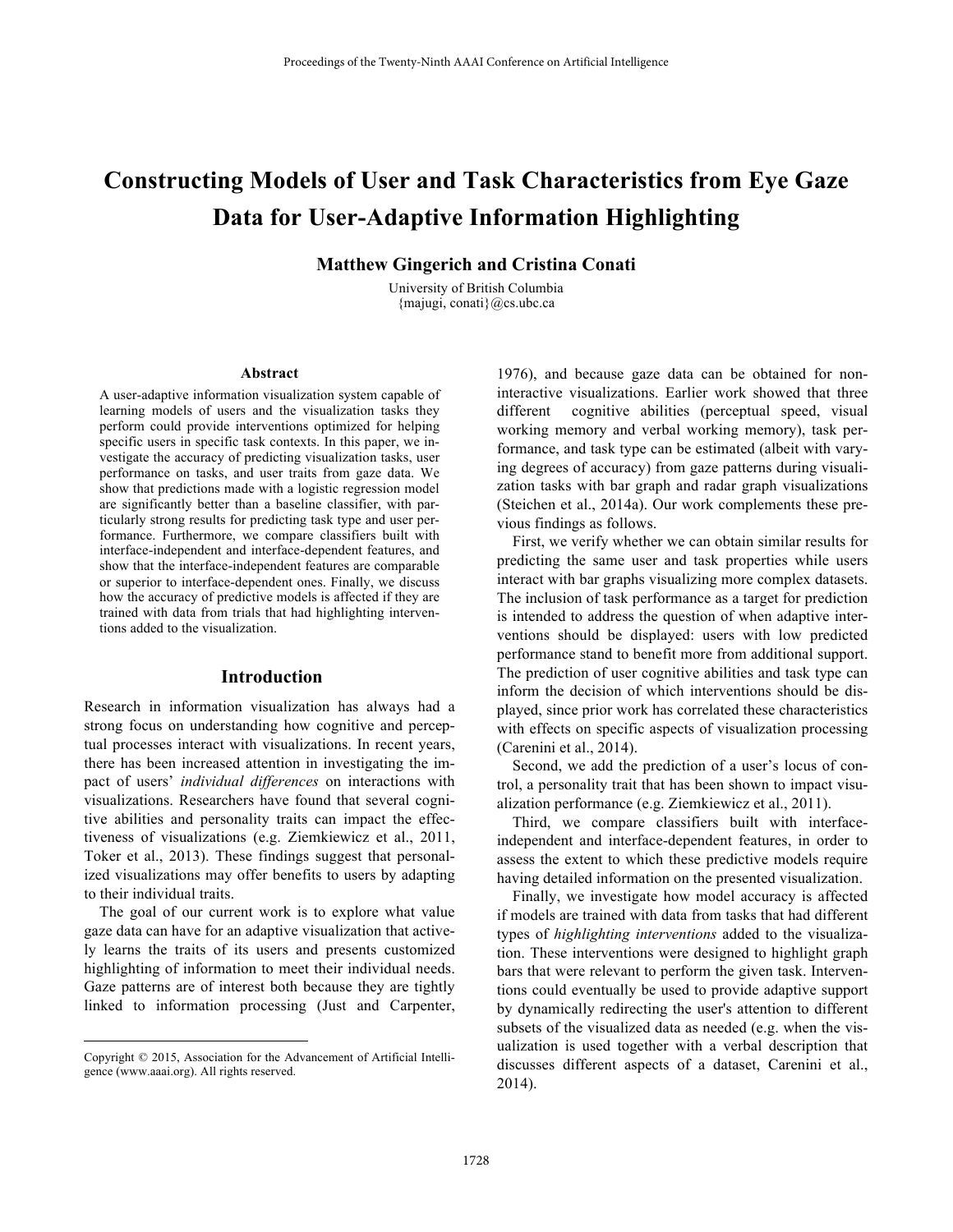# **Constructing Models of User and Task Characteristics from Eye Gaze Data for User-Adaptive Information Highlighting**

**Matthew Gingerich and Cristina Conati**

University of British Columbia {majugi, conati}@cs.ubc.ca

#### **Abstract**

A user-adaptive information visualization system capable of learning models of users and the visualization tasks they perform could provide interventions optimized for helping specific users in specific task contexts. In this paper, we investigate the accuracy of predicting visualization tasks, user performance on tasks, and user traits from gaze data. We show that predictions made with a logistic regression model are significantly better than a baseline classifier, with particularly strong results for predicting task type and user performance. Furthermore, we compare classifiers built with interface-independent and interface-dependent features, and show that the interface-independent features are comparable or superior to interface-dependent ones. Finally, we discuss how the accuracy of predictive models is affected if they are trained with data from trials that had highlighting interventions added to the visualization.

## **Introduction**

Research in information visualization has always had a strong focus on understanding how cognitive and perceptual processes interact with visualizations. In recent years, there has been increased attention in investigating the impact of users' *individual differences* on interactions with visualizations. Researchers have found that several cognitive abilities and personality traits can impact the effectiveness of visualizations (e.g. Ziemkiewicz et al., 2011, Toker et al., 2013). These findings suggest that personalized visualizations may offer benefits to users by adapting to their individual traits.

The goal of our current work is to explore what value gaze data can have for an adaptive visualization that actively learns the traits of its users and presents customized highlighting of information to meet their individual needs. Gaze patterns are of interest both because they are tightly linked to information processing (Just and Carpenter,

 $\overline{a}$ 

1976), and because gaze data can be obtained for noninteractive visualizations. Earlier work showed that three different cognitive abilities (perceptual speed, visual working memory and verbal working memory), task performance, and task type can be estimated (albeit with varying degrees of accuracy) from gaze patterns during visualization tasks with bar graph and radar graph visualizations (Steichen et al., 2014a). Our work complements these previous findings as follows.

First, we verify whether we can obtain similar results for predicting the same user and task properties while users interact with bar graphs visualizing more complex datasets. The inclusion of task performance as a target for prediction is intended to address the question of when adaptive interventions should be displayed: users with low predicted performance stand to benefit more from additional support. The prediction of user cognitive abilities and task type can inform the decision of which interventions should be displayed, since prior work has correlated these characteristics with effects on specific aspects of visualization processing (Carenini et al., 2014).

Second, we add the prediction of a user's locus of control, a personality trait that has been shown to impact visualization performance (e.g. Ziemkiewicz et al., 2011).

Third, we compare classifiers built with interfaceindependent and interface-dependent features, in order to assess the extent to which these predictive models require having detailed information on the presented visualization.

Finally, we investigate how model accuracy is affected if models are trained with data from tasks that had different types of *highlighting interventions* added to the visualization. These interventions were designed to highlight graph bars that were relevant to perform the given task. Interventions could eventually be used to provide adaptive support by dynamically redirecting the user's attention to different subsets of the visualized data as needed (e.g. when the visualization is used together with a verbal description that discusses different aspects of a dataset, Carenini et al., 2014).

Copyright © 2015, Association for the Advancement of Artificial Intelligence (www.aaai.org). All rights reserved.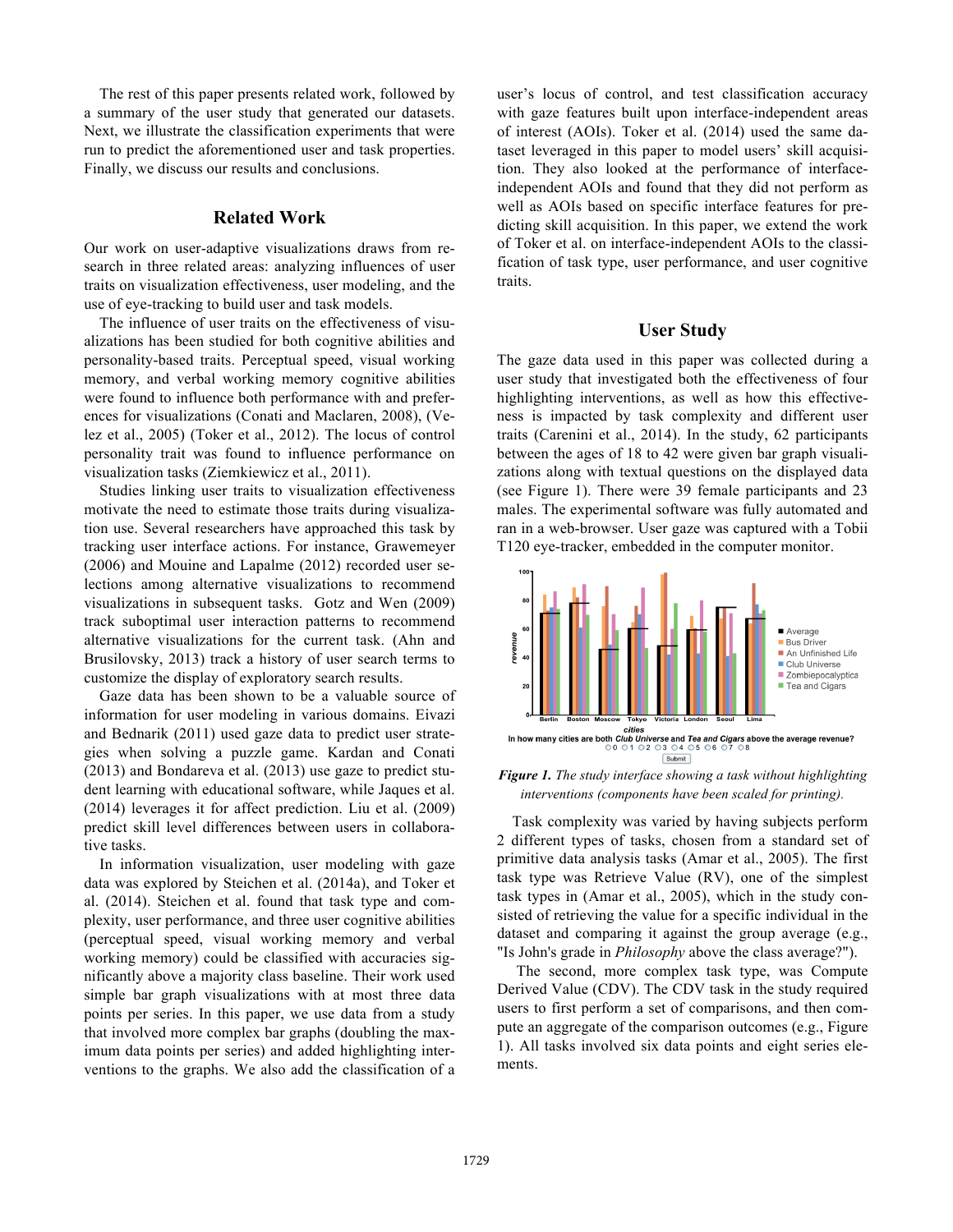The rest of this paper presents related work, followed by a summary of the user study that generated our datasets. Next, we illustrate the classification experiments that were run to predict the aforementioned user and task properties. Finally, we discuss our results and conclusions.

#### **Related Work**

Our work on user-adaptive visualizations draws from research in three related areas: analyzing influences of user traits on visualization effectiveness, user modeling, and the use of eye-tracking to build user and task models.

The influence of user traits on the effectiveness of visualizations has been studied for both cognitive abilities and personality-based traits. Perceptual speed, visual working memory, and verbal working memory cognitive abilities were found to influence both performance with and preferences for visualizations (Conati and Maclaren, 2008), (Velez et al., 2005) (Toker et al., 2012). The locus of control personality trait was found to influence performance on visualization tasks (Ziemkiewicz et al., 2011).

Studies linking user traits to visualization effectiveness motivate the need to estimate those traits during visualization use. Several researchers have approached this task by tracking user interface actions. For instance, Grawemeyer (2006) and Mouine and Lapalme (2012) recorded user selections among alternative visualizations to recommend visualizations in subsequent tasks. Gotz and Wen (2009) track suboptimal user interaction patterns to recommend alternative visualizations for the current task. (Ahn and Brusilovsky, 2013) track a history of user search terms to customize the display of exploratory search results.

Gaze data has been shown to be a valuable source of information for user modeling in various domains. Eivazi and Bednarik (2011) used gaze data to predict user strategies when solving a puzzle game. Kardan and Conati (2013) and Bondareva et al. (2013) use gaze to predict student learning with educational software, while Jaques et al. (2014) leverages it for affect prediction. Liu et al. (2009) predict skill level differences between users in collaborative tasks.

In information visualization, user modeling with gaze data was explored by Steichen et al. (2014a), and Toker et al. (2014). Steichen et al. found that task type and complexity, user performance, and three user cognitive abilities (perceptual speed, visual working memory and verbal working memory) could be classified with accuracies significantly above a majority class baseline. Their work used simple bar graph visualizations with at most three data points per series. In this paper, we use data from a study that involved more complex bar graphs (doubling the maximum data points per series) and added highlighting interventions to the graphs. We also add the classification of a user's locus of control, and test classification accuracy with gaze features built upon interface-independent areas of interest (AOIs). Toker et al. (2014) used the same dataset leveraged in this paper to model users' skill acquisition. They also looked at the performance of interfaceindependent AOIs and found that they did not perform as well as AOIs based on specific interface features for predicting skill acquisition. In this paper, we extend the work of Toker et al. on interface-independent AOIs to the classification of task type, user performance, and user cognitive traits.

### **User Study**

The gaze data used in this paper was collected during a user study that investigated both the effectiveness of four highlighting interventions, as well as how this effectiveness is impacted by task complexity and different user traits (Carenini et al., 2014). In the study, 62 participants between the ages of 18 to 42 were given bar graph visualizations along with textual questions on the displayed data (see Figure 1). There were 39 female participants and 23 males. The experimental software was fully automated and ran in a web-browser. User gaze was captured with a Tobii T120 eye-tracker, embedded in the computer monitor.



*Figure 1. The study interface showing a task without highlighting interventions (components have been scaled for printing).*

Task complexity was varied by having subjects perform 2 different types of tasks, chosen from a standard set of primitive data analysis tasks (Amar et al., 2005). The first task type was Retrieve Value (RV), one of the simplest task types in (Amar et al., 2005), which in the study consisted of retrieving the value for a specific individual in the dataset and comparing it against the group average (e.g., "Is John's grade in *Philosophy* above the class average?").

The second, more complex task type, was Compute Derived Value (CDV). The CDV task in the study required users to first perform a set of comparisons, and then compute an aggregate of the comparison outcomes (e.g., Figure 1). All tasks involved six data points and eight series elements.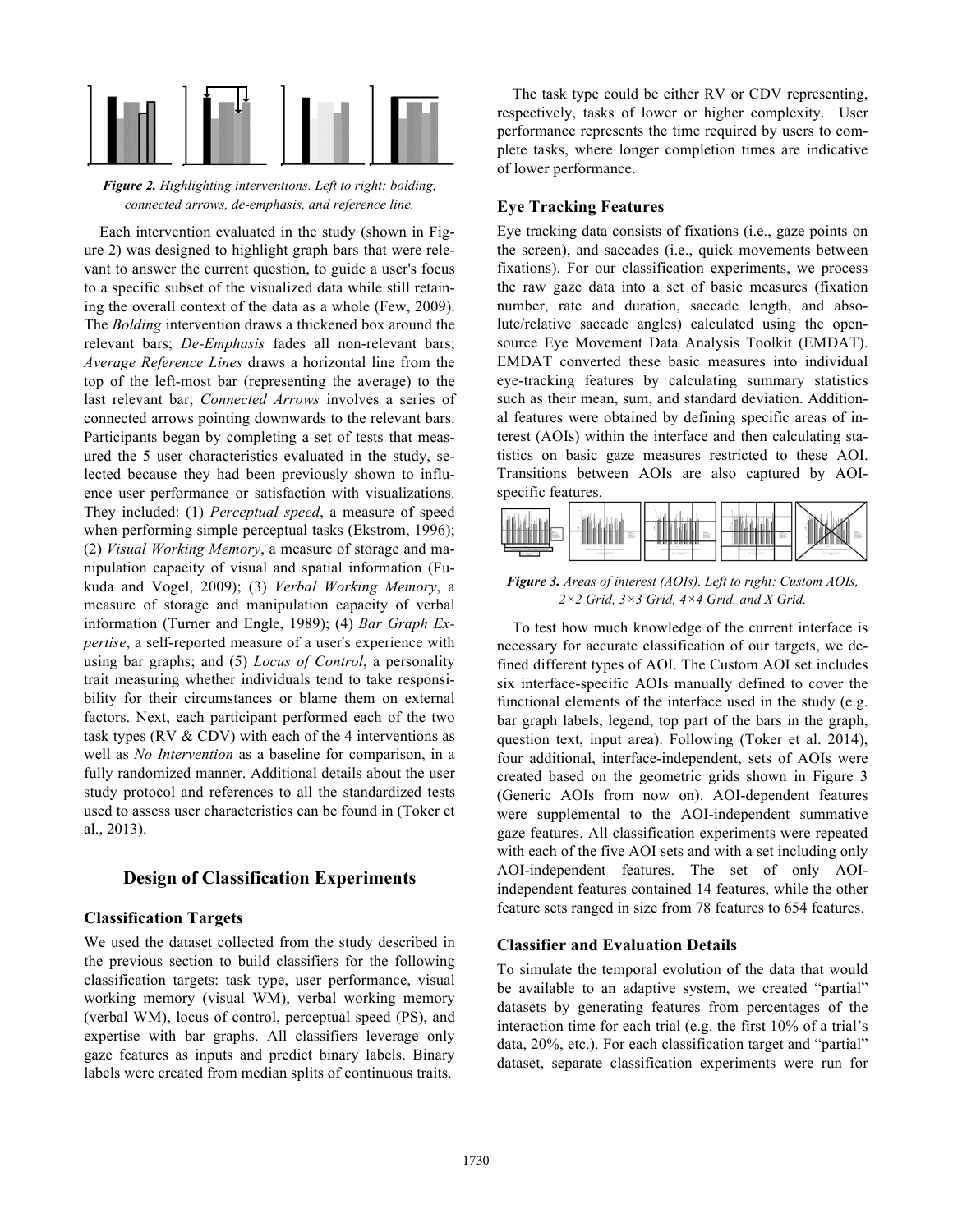

*Figure 2. Highlighting interventions. Left to right: bolding, connected arrows, de-emphasis, and reference line.*

Each intervention evaluated in the study (shown in Figure 2) was designed to highlight graph bars that were relevant to answer the current question, to guide a user's focus to a specific subset of the visualized data while still retaining the overall context of the data as a whole (Few, 2009). The *Bolding* intervention draws a thickened box around the relevant bars; *De-Emphasis* fades all non-relevant bars; *Average Reference Lines* draws a horizontal line from the top of the left-most bar (representing the average) to the last relevant bar; *Connected Arrows* involves a series of connected arrows pointing downwards to the relevant bars. Participants began by completing a set of tests that measured the 5 user characteristics evaluated in the study, selected because they had been previously shown to influence user performance or satisfaction with visualizations. They included: (1) *Perceptual speed*, a measure of speed when performing simple perceptual tasks (Ekstrom, 1996); (2) *Visual Working Memory*, a measure of storage and manipulation capacity of visual and spatial information (Fukuda and Vogel, 2009); (3) *Verbal Working Memory*, a measure of storage and manipulation capacity of verbal information (Turner and Engle, 1989); (4) *Bar Graph Expertise*, a self-reported measure of a user's experience with using bar graphs; and (5) *Locus of Control*, a personality trait measuring whether individuals tend to take responsibility for their circumstances or blame them on external factors. Next, each participant performed each of the two task types (RV  $&$  CDV) with each of the 4 interventions as well as *No Intervention* as a baseline for comparison, in a fully randomized manner. Additional details about the user study protocol and references to all the standardized tests used to assess user characteristics can be found in (Toker et al., 2013).

# **Design of Classification Experiments**

## **Classification Targets**

We used the dataset collected from the study described in the previous section to build classifiers for the following classification targets: task type, user performance, visual working memory (visual WM), verbal working memory (verbal WM), locus of control, perceptual speed (PS), and expertise with bar graphs. All classifiers leverage only gaze features as inputs and predict binary labels. Binary labels were created from median splits of continuous traits.

The task type could be either RV or CDV representing, respectively, tasks of lower or higher complexity. User performance represents the time required by users to complete tasks, where longer completion times are indicative of lower performance.

## **Eye Tracking Features**

Eye tracking data consists of fixations (i.e., gaze points on the screen), and saccades (i.e., quick movements between fixations). For our classification experiments, we process the raw gaze data into a set of basic measures (fixation number, rate and duration, saccade length, and absolute/relative saccade angles) calculated using the opensource Eye Movement Data Analysis Toolkit (EMDAT). EMDAT converted these basic measures into individual eye-tracking features by calculating summary statistics such as their mean, sum, and standard deviation. Additional features were obtained by defining specific areas of interest (AOIs) within the interface and then calculating statistics on basic gaze measures restricted to these AOI. Transitions between AOIs are also captured by AOIspecific features.



*Figure 3. Areas of interest (AOIs). Left to right: Custom AOIs, 2×2 Grid, 3×3 Grid, 4×4 Grid, and X Grid.*

To test how much knowledge of the current interface is necessary for accurate classification of our targets, we defined different types of AOI. The Custom AOI set includes six interface-specific AOIs manually defined to cover the functional elements of the interface used in the study (e.g. bar graph labels, legend, top part of the bars in the graph, question text, input area). Following (Toker et al. 2014), four additional, interface-independent, sets of AOIs were created based on the geometric grids shown in Figure 3 (Generic AOIs from now on). AOI-dependent features were supplemental to the AOI-independent summative gaze features. All classification experiments were repeated with each of the five AOI sets and with a set including only AOI-independent features. The set of only AOIindependent features contained 14 features, while the other feature sets ranged in size from 78 features to 654 features.

## **Classifier and Evaluation Details**

To simulate the temporal evolution of the data that would be available to an adaptive system, we created "partial" datasets by generating features from percentages of the interaction time for each trial (e.g. the first 10% of a trial's data, 20%, etc.). For each classification target and "partial" dataset, separate classification experiments were run for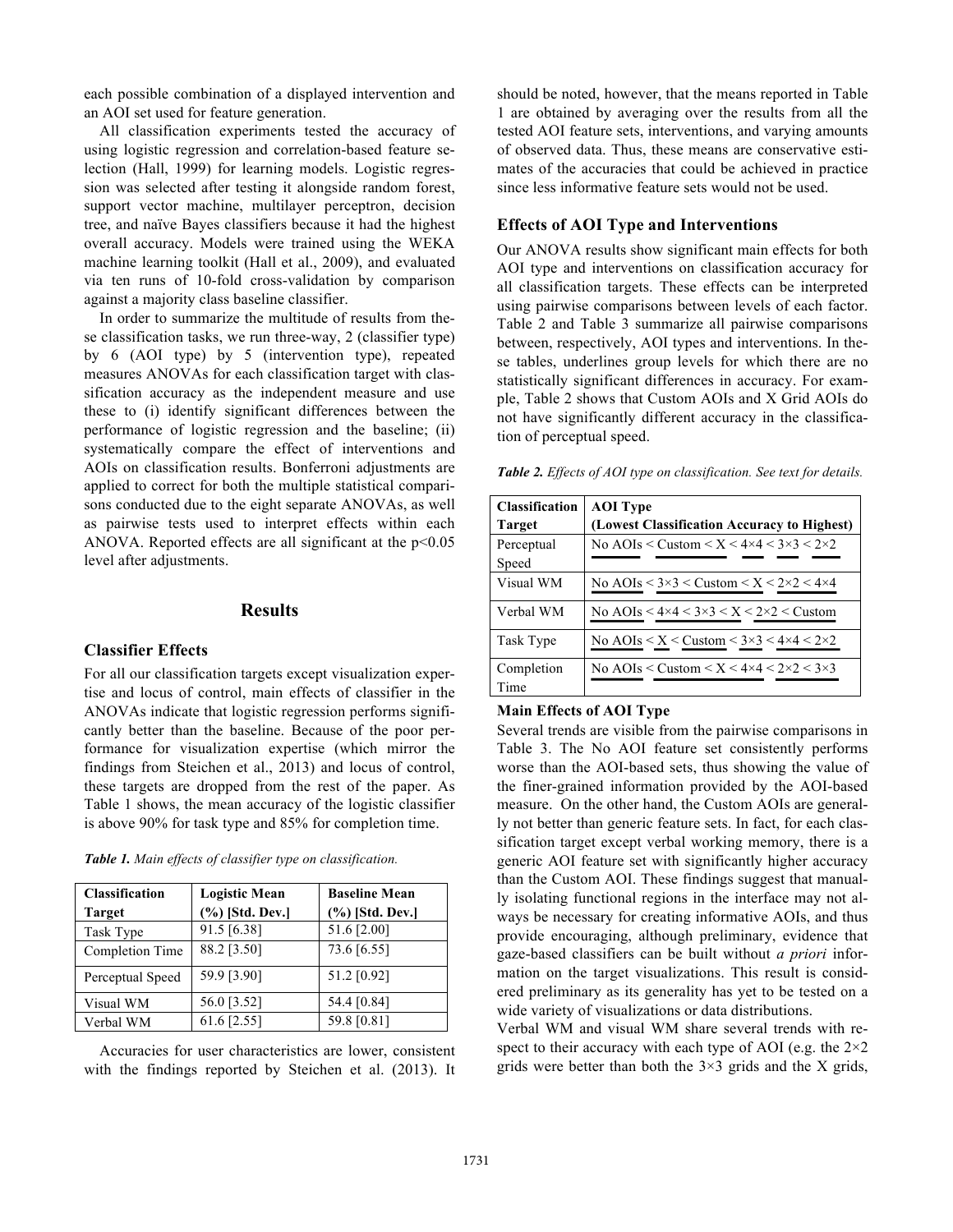each possible combination of a displayed intervention and an AOI set used for feature generation.

All classification experiments tested the accuracy of using logistic regression and correlation-based feature selection (Hall, 1999) for learning models. Logistic regression was selected after testing it alongside random forest, support vector machine, multilayer perceptron, decision tree, and naïve Bayes classifiers because it had the highest overall accuracy. Models were trained using the WEKA machine learning toolkit (Hall et al., 2009), and evaluated via ten runs of 10-fold cross-validation by comparison against a majority class baseline classifier.

In order to summarize the multitude of results from these classification tasks, we run three-way, 2 (classifier type) by 6 (AOI type) by 5 (intervention type), repeated measures ANOVAs for each classification target with classification accuracy as the independent measure and use these to (i) identify significant differences between the performance of logistic regression and the baseline; (ii) systematically compare the effect of interventions and AOIs on classification results. Bonferroni adjustments are applied to correct for both the multiple statistical comparisons conducted due to the eight separate ANOVAs, as well as pairwise tests used to interpret effects within each ANOVA. Reported effects are all significant at the  $p<0.05$ level after adjustments.

## **Results**

## **Classifier Effects**

For all our classification targets except visualization expertise and locus of control, main effects of classifier in the ANOVAs indicate that logistic regression performs significantly better than the baseline. Because of the poor performance for visualization expertise (which mirror the findings from Steichen et al., 2013) and locus of control, these targets are dropped from the rest of the paper. As Table 1 shows, the mean accuracy of the logistic classifier is above 90% for task type and 85% for completion time.

*Table 1. Main effects of classifier type on classification.*

| <b>Classification</b> | <b>Logistic Mean</b> | <b>Baseline Mean</b> |
|-----------------------|----------------------|----------------------|
| <b>Target</b>         | (%) [Std. Dev.]      | (%) [Std. Dev.]      |
| Task Type             | 91.5 [6.38]          | 51.6 [2.00]          |
| Completion Time       | 88.2 [3.50]          | 73.6 [6.55]          |
| Perceptual Speed      | 59.9 [3.90]          | 51.2 [0.92]          |
| Visual WM             | 56.0 [3.52]          | 54.4 [0.84]          |
| Verbal WM             | 61.6 [2.55]          | 59.8 [0.81]          |

Accuracies for user characteristics are lower, consistent with the findings reported by Steichen et al. (2013). It should be noted, however, that the means reported in Table 1 are obtained by averaging over the results from all the tested AOI feature sets, interventions, and varying amounts of observed data. Thus, these means are conservative estimates of the accuracies that could be achieved in practice since less informative feature sets would not be used.

## **Effects of AOI Type and Interventions**

Our ANOVA results show significant main effects for both AOI type and interventions on classification accuracy for all classification targets. These effects can be interpreted using pairwise comparisons between levels of each factor. Table 2 and Table 3 summarize all pairwise comparisons between, respectively, AOI types and interventions. In these tables, underlines group levels for which there are no statistically significant differences in accuracy. For example, Table 2 shows that Custom AOIs and X Grid AOIs do not have significantly different accuracy in the classification of perceptual speed.

| <b>Table 2.</b> Effects of AOI type on classification. See text for details. |  |  |  |  |  |
|------------------------------------------------------------------------------|--|--|--|--|--|
|------------------------------------------------------------------------------|--|--|--|--|--|

| <b>Classification</b> | <b>AOI</b> Type                                                                 |
|-----------------------|---------------------------------------------------------------------------------|
| <b>Target</b>         | (Lowest Classification Accuracy to Highest)                                     |
| Perceptual            | No AOIs < Custom < $X < 4 \times 4 < 3 \times 3 < 2 \times 2$                   |
| Speed                 |                                                                                 |
| Visual WM             | No AOIs $\lt$ 3×3 $\lt$ Custom $\lt$ X $\lt$ 2×2 $\lt$ 4×4                      |
| Verbal WM             | No AOIs $\lt 4\times4\times3\times3\times\times2\times2\times$ Custom           |
| Task Type             | No AOIs $\leq X \leq C$ ustom $\leq 3 \times 3 \leq 4 \times 4 \leq 2 \times 2$ |
| Completion<br>Time    | No AOIs < Custom < $X < 4 \times 4 < 2 \times 2 < 3 \times 3$                   |

#### **Main Effects of AOI Type**

Several trends are visible from the pairwise comparisons in Table 3. The No AOI feature set consistently performs worse than the AOI-based sets, thus showing the value of the finer-grained information provided by the AOI-based measure. On the other hand, the Custom AOIs are generally not better than generic feature sets. In fact, for each classification target except verbal working memory, there is a generic AOI feature set with significantly higher accuracy than the Custom AOI. These findings suggest that manually isolating functional regions in the interface may not always be necessary for creating informative AOIs, and thus provide encouraging, although preliminary, evidence that gaze-based classifiers can be built without *a priori* information on the target visualizations. This result is considered preliminary as its generality has yet to be tested on a wide variety of visualizations or data distributions.

Verbal WM and visual WM share several trends with respect to their accuracy with each type of AOI (e.g. the  $2\times 2$ ) grids were better than both the  $3\times3$  grids and the X grids,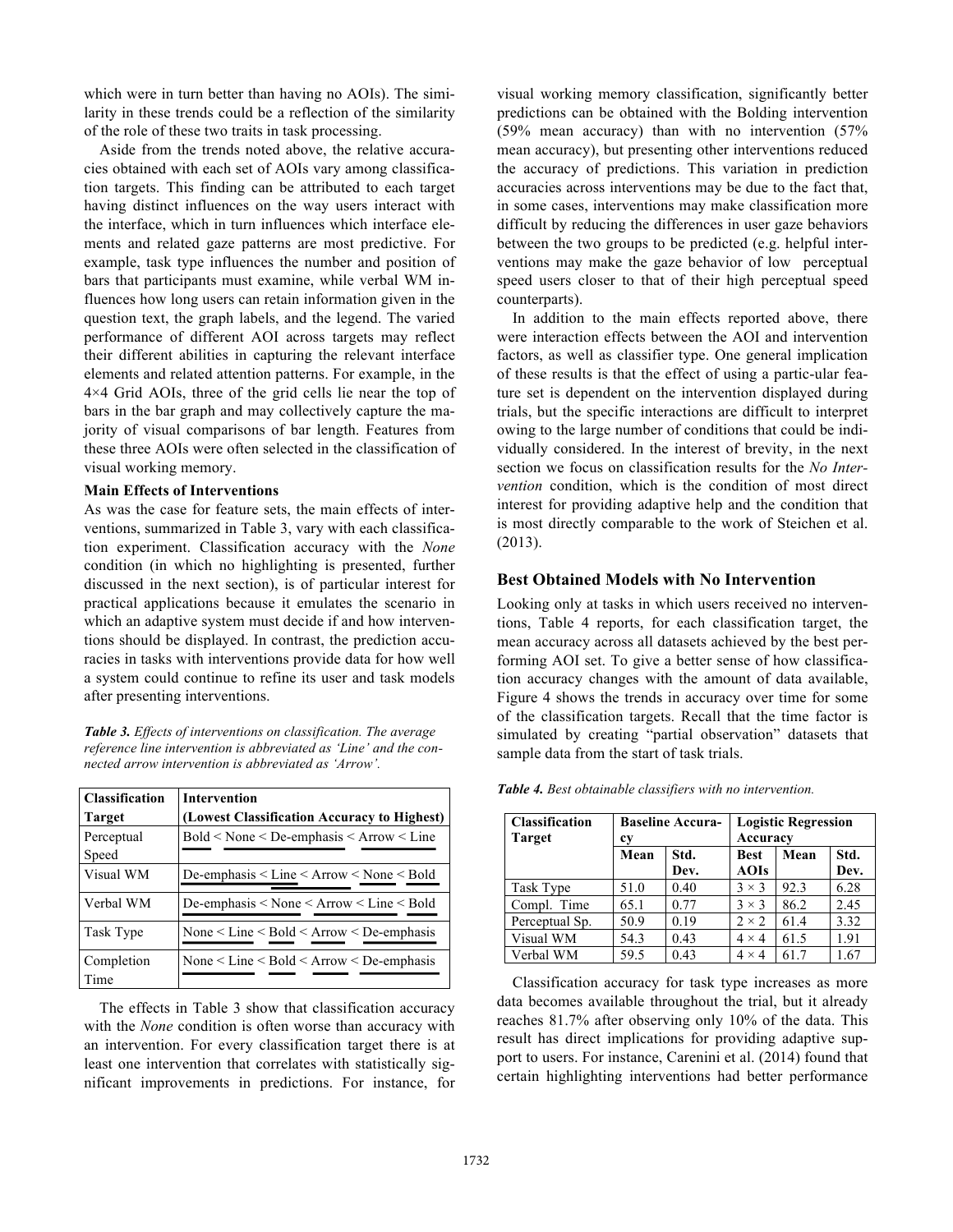which were in turn better than having no AOIs). The similarity in these trends could be a reflection of the similarity of the role of these two traits in task processing.

Aside from the trends noted above, the relative accuracies obtained with each set of AOIs vary among classification targets. This finding can be attributed to each target having distinct influences on the way users interact with the interface, which in turn influences which interface elements and related gaze patterns are most predictive. For example, task type influences the number and position of bars that participants must examine, while verbal WM influences how long users can retain information given in the question text, the graph labels, and the legend. The varied performance of different AOI across targets may reflect their different abilities in capturing the relevant interface elements and related attention patterns. For example, in the 4×4 Grid AOIs, three of the grid cells lie near the top of bars in the bar graph and may collectively capture the majority of visual comparisons of bar length. Features from these three AOIs were often selected in the classification of visual working memory.

#### **Main Effects of Interventions**

As was the case for feature sets, the main effects of interventions, summarized in Table 3, vary with each classification experiment. Classification accuracy with the *None* condition (in which no highlighting is presented, further discussed in the next section), is of particular interest for practical applications because it emulates the scenario in which an adaptive system must decide if and how interventions should be displayed. In contrast, the prediction accuracies in tasks with interventions provide data for how well a system could continue to refine its user and task models after presenting interventions.

*Table 3. Effects of interventions on classification. The average reference line intervention is abbreviated as 'Line' and the connected arrow intervention is abbreviated as 'Arrow'.*

| <b>Classification</b><br><b>Target</b> | <b>Intervention</b><br>(Lowest Classification Accuracy to Highest) |
|----------------------------------------|--------------------------------------------------------------------|
| Perceptual<br>Speed                    | $Bold <$ None $\leq$ De-emphasis $\leq$ Arrow $\leq$ Line          |
| Visual WM                              | De-emphasis $\leq$ Line $\leq$ Arrow $\leq$ None $\leq$ Bold       |
| Verbal WM                              | De-emphasis $\leq$ None $\leq$ Arrow $\leq$ Line $\leq$ Bold       |
| Task Type                              | None $\le$ Line $\le$ Bold $\le$ Arrow $\le$ De-emphasis           |
| Completion<br>Time                     | None $\le$ Line $\le$ Bold $\le$ Arrow $\le$ De-emphasis           |

The effects in Table 3 show that classification accuracy with the *None* condition is often worse than accuracy with an intervention. For every classification target there is at least one intervention that correlates with statistically significant improvements in predictions. For instance, for visual working memory classification, significantly better predictions can be obtained with the Bolding intervention (59% mean accuracy) than with no intervention (57% mean accuracy), but presenting other interventions reduced the accuracy of predictions. This variation in prediction accuracies across interventions may be due to the fact that, in some cases, interventions may make classification more difficult by reducing the differences in user gaze behaviors between the two groups to be predicted (e.g. helpful interventions may make the gaze behavior of low perceptual speed users closer to that of their high perceptual speed counterparts).

In addition to the main effects reported above, there were interaction effects between the AOI and intervention factors, as well as classifier type. One general implication of these results is that the effect of using a partic-ular feature set is dependent on the intervention displayed during trials, but the specific interactions are difficult to interpret owing to the large number of conditions that could be individually considered. In the interest of brevity, in the next section we focus on classification results for the *No Intervention* condition, which is the condition of most direct interest for providing adaptive help and the condition that is most directly comparable to the work of Steichen et al. (2013).

## **Best Obtained Models with No Intervention**

Looking only at tasks in which users received no interventions, Table 4 reports, for each classification target, the mean accuracy across all datasets achieved by the best performing AOI set. To give a better sense of how classification accuracy changes with the amount of data available, Figure 4 shows the trends in accuracy over time for some of the classification targets. Recall that the time factor is simulated by creating "partial observation" datasets that sample data from the start of task trials.

| <b>Classification</b> |    | <b>Baseline Accura-</b>   Logistic Regression |
|-----------------------|----|-----------------------------------------------|
| <b>Target</b>         | сv | Accuracy                                      |

*Table 4. Best obtainable classifiers with no intervention.*

| <b>Classification</b><br><b>Target</b> | <b>Baseline Accura-</b><br>cy |              | <b>Logistic Regression</b><br>Accuracy |      |              |
|----------------------------------------|-------------------------------|--------------|----------------------------------------|------|--------------|
|                                        | Mean                          | Std.<br>Dev. | <b>Best</b><br><b>AOIs</b>             | Mean | Std.<br>Dev. |
| Task Type                              | 51.0                          | 0.40         | $3 \times 3$                           | 92.3 | 6.28         |
| Compl. Time                            | 65.1                          | 0.77         | $3 \times 3$                           | 86.2 | 2.45         |
| Perceptual Sp.                         | 50.9                          | 0.19         | $2 \times 2$                           | 61.4 | 3.32         |
| Visual WM                              | 54.3                          | 0.43         | $4 \times 4$                           | 61.5 | 1.91         |
| Verbal WM                              | 59.5                          | 0.43         | $4 \times 4$                           | 61.7 | 1.67         |

Classification accuracy for task type increases as more data becomes available throughout the trial, but it already reaches 81.7% after observing only 10% of the data. This result has direct implications for providing adaptive support to users. For instance, Carenini et al. (2014) found that certain highlighting interventions had better performance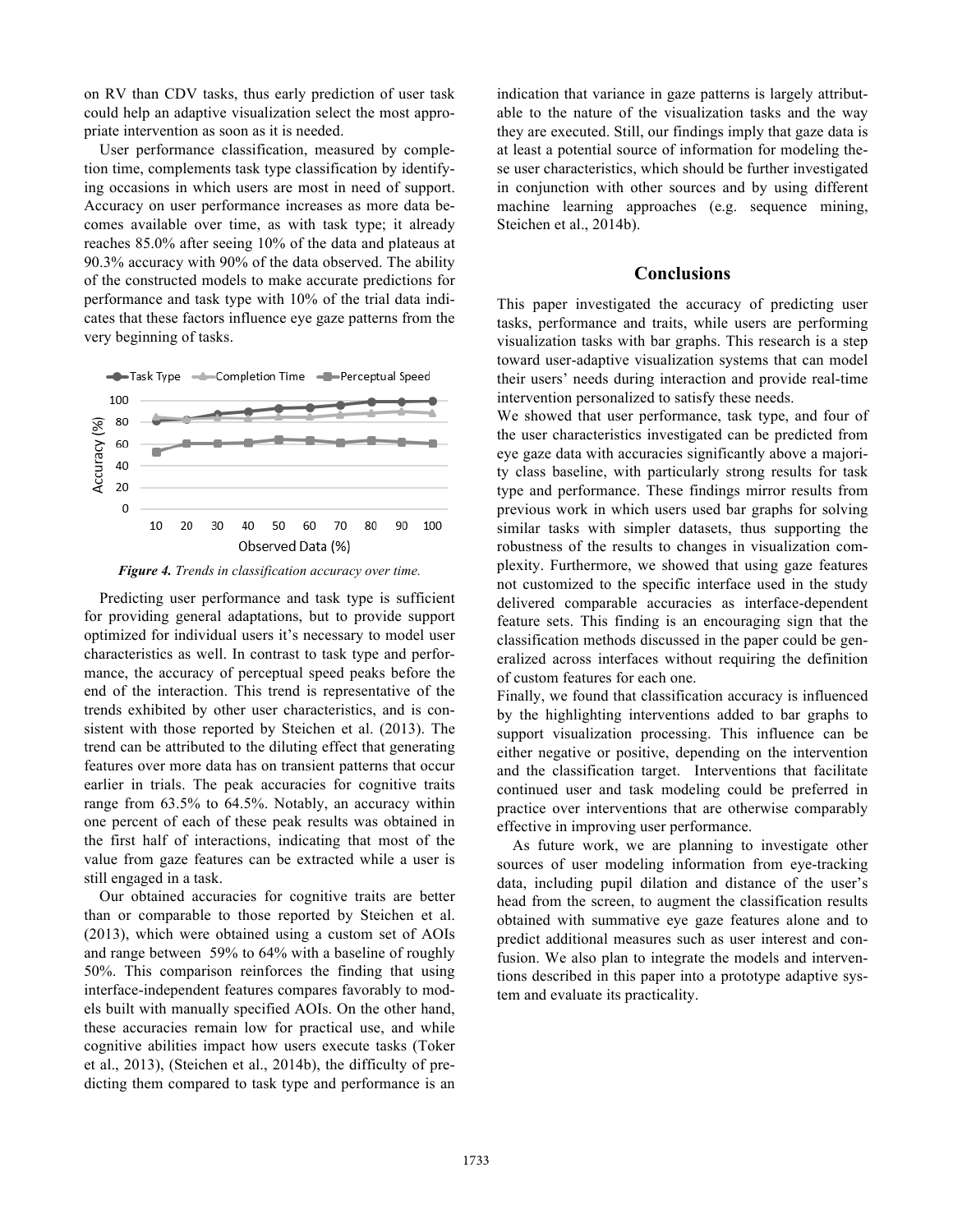on RV than CDV tasks, thus early prediction of user task could help an adaptive visualization select the most appropriate intervention as soon as it is needed.

User performance classification, measured by completion time, complements task type classification by identifying occasions in which users are most in need of support. Accuracy on user performance increases as more data becomes available over time, as with task type; it already reaches 85.0% after seeing 10% of the data and plateaus at 90.3% accuracy with 90% of the data observed. The ability of the constructed models to make accurate predictions for performance and task type with 10% of the trial data indicates that these factors influence eye gaze patterns from the very beginning of tasks.



*Figure 4. Trends in classification accuracy over time.*

Predicting user performance and task type is sufficient for providing general adaptations, but to provide support optimized for individual users it's necessary to model user characteristics as well. In contrast to task type and performance, the accuracy of perceptual speed peaks before the end of the interaction. This trend is representative of the trends exhibited by other user characteristics, and is consistent with those reported by Steichen et al. (2013). The trend can be attributed to the diluting effect that generating features over more data has on transient patterns that occur earlier in trials. The peak accuracies for cognitive traits range from 63.5% to 64.5%. Notably, an accuracy within one percent of each of these peak results was obtained in the first half of interactions, indicating that most of the value from gaze features can be extracted while a user is still engaged in a task.

Our obtained accuracies for cognitive traits are better than or comparable to those reported by Steichen et al. (2013), which were obtained using a custom set of AOIs and range between 59% to 64% with a baseline of roughly 50%. This comparison reinforces the finding that using interface-independent features compares favorably to models built with manually specified AOIs. On the other hand, these accuracies remain low for practical use, and while cognitive abilities impact how users execute tasks (Toker et al., 2013), (Steichen et al., 2014b), the difficulty of predicting them compared to task type and performance is an indication that variance in gaze patterns is largely attributable to the nature of the visualization tasks and the way they are executed. Still, our findings imply that gaze data is at least a potential source of information for modeling these user characteristics, which should be further investigated in conjunction with other sources and by using different machine learning approaches (e.g. sequence mining, Steichen et al., 2014b).

## **Conclusions**

This paper investigated the accuracy of predicting user tasks, performance and traits, while users are performing visualization tasks with bar graphs. This research is a step toward user-adaptive visualization systems that can model their users' needs during interaction and provide real-time intervention personalized to satisfy these needs.

We showed that user performance, task type, and four of the user characteristics investigated can be predicted from eye gaze data with accuracies significantly above a majority class baseline, with particularly strong results for task type and performance. These findings mirror results from previous work in which users used bar graphs for solving similar tasks with simpler datasets, thus supporting the robustness of the results to changes in visualization complexity. Furthermore, we showed that using gaze features not customized to the specific interface used in the study delivered comparable accuracies as interface-dependent feature sets. This finding is an encouraging sign that the classification methods discussed in the paper could be generalized across interfaces without requiring the definition of custom features for each one.

Finally, we found that classification accuracy is influenced by the highlighting interventions added to bar graphs to support visualization processing. This influence can be either negative or positive, depending on the intervention and the classification target. Interventions that facilitate continued user and task modeling could be preferred in practice over interventions that are otherwise comparably effective in improving user performance.

As future work, we are planning to investigate other sources of user modeling information from eye-tracking data, including pupil dilation and distance of the user's head from the screen, to augment the classification results obtained with summative eye gaze features alone and to predict additional measures such as user interest and confusion. We also plan to integrate the models and interventions described in this paper into a prototype adaptive system and evaluate its practicality.